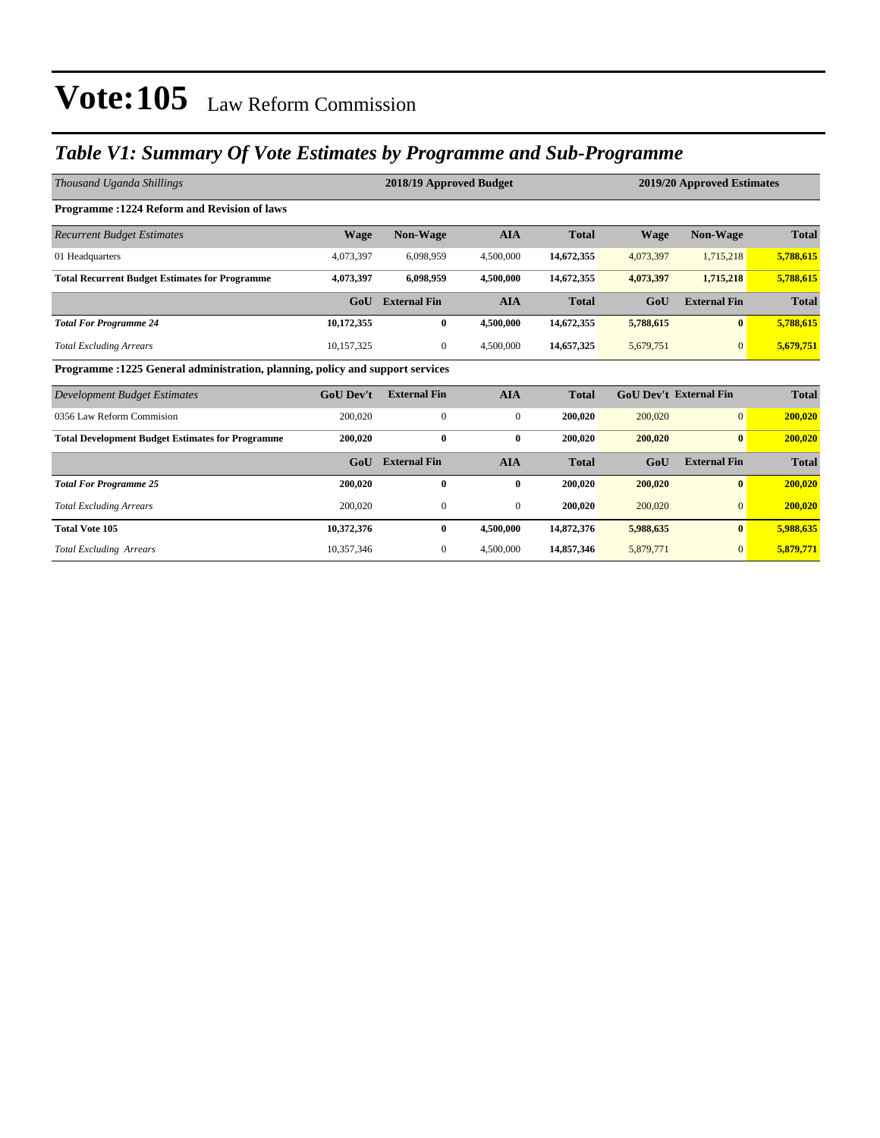### *Table V1: Summary Of Vote Estimates by Programme and Sub-Programme*

| Thousand Uganda Shillings                                                      |                  | 2018/19 Approved Budget |                  | 2019/20 Approved Estimates |                               |                     |              |
|--------------------------------------------------------------------------------|------------------|-------------------------|------------------|----------------------------|-------------------------------|---------------------|--------------|
| <b>Programme: 1224 Reform and Revision of laws</b>                             |                  |                         |                  |                            |                               |                     |              |
| <b>Recurrent Budget Estimates</b>                                              | <b>Wage</b>      | <b>Non-Wage</b>         | <b>AIA</b>       | <b>Total</b>               | <b>Wage</b>                   | Non-Wage            | <b>Total</b> |
| 01 Headquarters                                                                | 4,073,397        | 6,098,959               | 4,500,000        | 14,672,355                 | 4,073,397                     | 1,715,218           | 5,788,615    |
| <b>Total Recurrent Budget Estimates for Programme</b>                          | 4,073,397        | 6,098,959               | 4,500,000        | 14,672,355                 | 4,073,397                     | 1,715,218           | 5,788,615    |
|                                                                                | GoU              | <b>External Fin</b>     | <b>AIA</b>       | <b>Total</b>               | GoU                           | <b>External Fin</b> | <b>Total</b> |
| <b>Total For Programme 24</b>                                                  | 10,172,355       | $\bf{0}$                | 4,500,000        | 14,672,355                 | 5,788,615                     | $\bf{0}$            | 5,788,615    |
| <b>Total Excluding Arrears</b>                                                 | 10,157,325       | 0                       | 4,500,000        | 14,657,325                 | 5,679,751                     | $\mathbf{0}$        | 5,679,751    |
| Programme : 1225 General administration, planning, policy and support services |                  |                         |                  |                            |                               |                     |              |
| Development Budget Estimates                                                   | <b>GoU Dev't</b> | <b>External Fin</b>     | <b>AIA</b>       | <b>Total</b>               | <b>GoU Dev't External Fin</b> |                     | <b>Total</b> |
| 0356 Law Reform Commision                                                      | 200,020          | $\mathbf{0}$            | $\boldsymbol{0}$ | 200,020                    | 200,020                       | $\overline{0}$      | 200,020      |
| <b>Total Development Budget Estimates for Programme</b>                        | 200.020          | $\bf{0}$                | $\bf{0}$         | 200,020                    | 200,020                       | $\bf{0}$            | 200,020      |
|                                                                                | GoU              | <b>External Fin</b>     | <b>AIA</b>       | <b>Total</b>               | GoU                           | <b>External Fin</b> | <b>Total</b> |
| <b>Total For Programme 25</b>                                                  | 200,020          | $\bf{0}$                | $\bf{0}$         | 200,020                    | 200,020                       | $\bf{0}$            | 200,020      |
| <b>Total Excluding Arrears</b>                                                 | 200,020          | $\boldsymbol{0}$        | 0                | 200,020                    | 200,020                       | $\mathbf{0}$        | 200,020      |
| <b>Total Vote 105</b>                                                          | 10,372,376       | $\bf{0}$                | 4,500,000        | 14,872,376                 | 5,988,635                     | $\bf{0}$            | 5,988,635    |
| <b>Total Excluding Arrears</b>                                                 | 10,357,346       | $\boldsymbol{0}$        | 4,500,000        | 14,857,346                 | 5,879,771                     | $\mathbf{0}$        | 5,879,771    |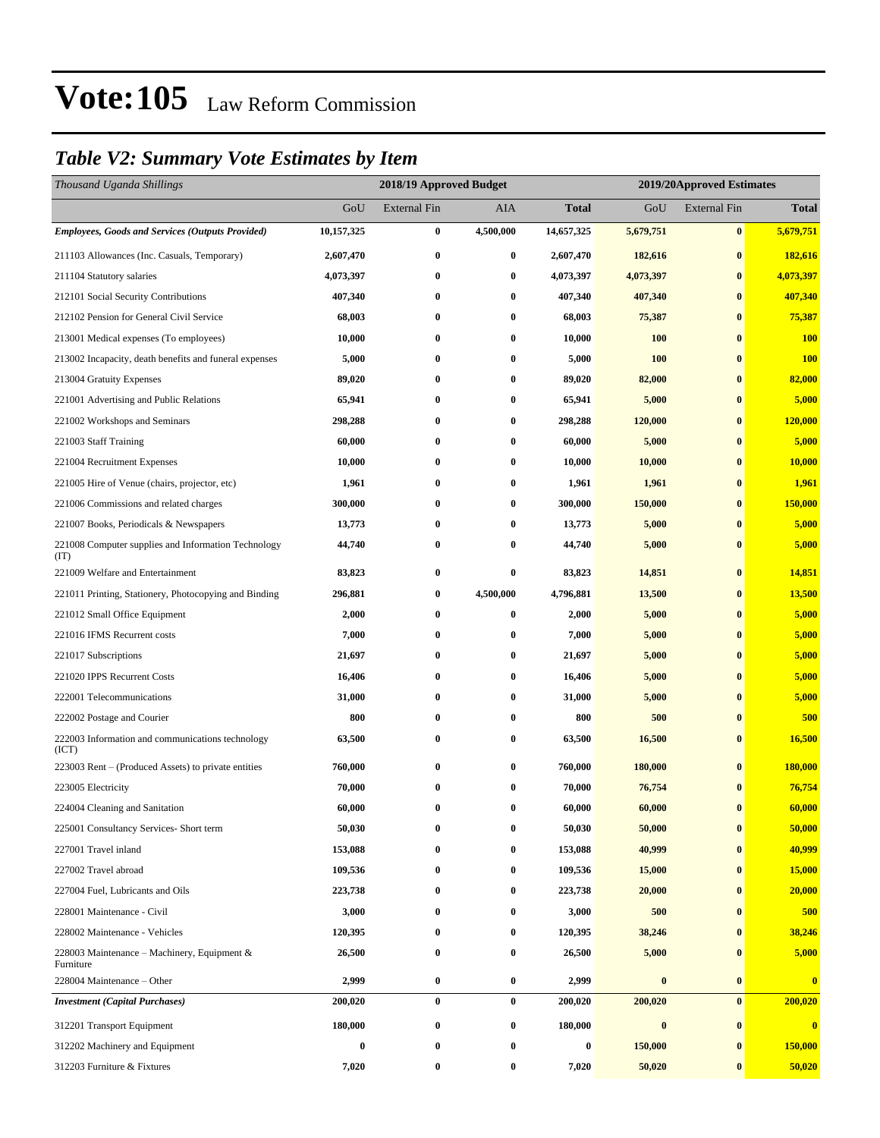### *Table V2: Summary Vote Estimates by Item*

| Thousand Uganda Shillings                                   |            | 2018/19 Approved Budget |            |              | 2019/20Approved Estimates |                     |              |  |
|-------------------------------------------------------------|------------|-------------------------|------------|--------------|---------------------------|---------------------|--------------|--|
|                                                             | GoU        | <b>External Fin</b>     | <b>AIA</b> | <b>Total</b> | GoU                       | <b>External Fin</b> | <b>Total</b> |  |
| <b>Employees, Goods and Services (Outputs Provided)</b>     | 10,157,325 | 0                       | 4,500,000  | 14,657,325   | 5,679,751                 | $\bf{0}$            | 5,679,751    |  |
| 211103 Allowances (Inc. Casuals, Temporary)                 | 2,607,470  | 0                       | $\bf{0}$   | 2,607,470    | 182,616                   | $\bf{0}$            | 182,616      |  |
| 211104 Statutory salaries                                   | 4,073,397  | $\boldsymbol{0}$        | $\bf{0}$   | 4,073,397    | 4,073,397                 | $\bf{0}$            | 4,073,397    |  |
| 212101 Social Security Contributions                        | 407,340    | 0                       | $\bf{0}$   | 407,340      | 407,340                   | $\bf{0}$            | 407,340      |  |
| 212102 Pension for General Civil Service                    | 68,003     | $\bf{0}$                | $\bf{0}$   | 68,003       | 75,387                    | $\bf{0}$            | 75,387       |  |
| 213001 Medical expenses (To employees)                      | 10,000     | $\bf{0}$                | $\bf{0}$   | 10,000       | 100                       | $\bf{0}$            | <b>100</b>   |  |
| 213002 Incapacity, death benefits and funeral expenses      | 5,000      | 0                       | $\bf{0}$   | 5,000        | 100                       | $\bf{0}$            | <b>100</b>   |  |
| 213004 Gratuity Expenses                                    | 89,020     | 0                       | $\bf{0}$   | 89,020       | 82,000                    | $\bf{0}$            | 82,000       |  |
| 221001 Advertising and Public Relations                     | 65,941     | 0                       | $\bf{0}$   | 65,941       | 5,000                     | $\bf{0}$            | 5,000        |  |
| 221002 Workshops and Seminars                               | 298,288    | $\bf{0}$                | $\bf{0}$   | 298,288      | 120,000                   | $\bf{0}$            | 120,000      |  |
| 221003 Staff Training                                       | 60,000     | $\bf{0}$                | $\bf{0}$   | 60,000       | 5,000                     | $\bf{0}$            | 5,000        |  |
| 221004 Recruitment Expenses                                 | 10,000     | 0                       | $\bf{0}$   | 10,000       | 10,000                    | $\bf{0}$            | 10,000       |  |
| 221005 Hire of Venue (chairs, projector, etc)               | 1,961      | 0                       | $\bf{0}$   | 1,961        | 1,961                     | $\bf{0}$            | 1,961        |  |
| 221006 Commissions and related charges                      | 300,000    | 0                       | $\bf{0}$   | 300,000      | 150,000                   | $\bf{0}$            | 150,000      |  |
| 221007 Books, Periodicals & Newspapers                      | 13,773     | $\bf{0}$                | $\bf{0}$   | 13,773       | 5,000                     | $\bf{0}$            | 5,000        |  |
| 221008 Computer supplies and Information Technology<br>(TT) | 44,740     | $\bf{0}$                | $\bf{0}$   | 44,740       | 5,000                     | $\bf{0}$            | 5,000        |  |
| 221009 Welfare and Entertainment                            | 83,823     | $\boldsymbol{0}$        | $\bf{0}$   | 83,823       | 14,851                    | $\bf{0}$            | 14,851       |  |
| 221011 Printing, Stationery, Photocopying and Binding       | 296,881    | $\bf{0}$                | 4,500,000  | 4,796,881    | 13,500                    | $\bf{0}$            | 13,500       |  |
| 221012 Small Office Equipment                               | 2,000      | $\bf{0}$                | $\bf{0}$   | 2,000        | 5,000                     | $\bf{0}$            | 5,000        |  |
| 221016 IFMS Recurrent costs                                 | 7,000      | 0                       | $\bf{0}$   | 7,000        | 5,000                     | $\bf{0}$            | 5,000        |  |
| 221017 Subscriptions                                        | 21,697     | 0                       | $\bf{0}$   | 21,697       | 5,000                     | $\bf{0}$            | 5,000        |  |
| 221020 IPPS Recurrent Costs                                 | 16,406     | $\bf{0}$                | $\bf{0}$   | 16,406       | 5,000                     | $\bf{0}$            | 5,000        |  |
| 222001 Telecommunications                                   | 31,000     | $\bf{0}$                | $\bf{0}$   | 31,000       | 5,000                     | $\bf{0}$            | 5,000        |  |
| 222002 Postage and Courier                                  | 800        | $\bf{0}$                | $\bf{0}$   | 800          | 500                       | $\bf{0}$            | 500          |  |
| 222003 Information and communications technology<br>(ICT)   | 63,500     | 0                       | $\bf{0}$   | 63,500       | 16,500                    | $\bf{0}$            | 16,500       |  |
| 223003 Rent – (Produced Assets) to private entities         | 760,000    | 0                       | $\bf{0}$   | 760,000      | 180,000                   | $\bf{0}$            | 180,000      |  |
| 223005 Electricity                                          | 70,000     | 0                       | $\bf{0}$   | 70,000       | 76,754                    | $\bf{0}$            | 76,754       |  |
| 224004 Cleaning and Sanitation                              | 60,000     | $\bf{0}$                | $\bf{0}$   | 60,000       | 60,000                    | $\bf{0}$            | 60,000       |  |
| 225001 Consultancy Services- Short term                     | 50,030     | 0                       | $\bf{0}$   | 50,030       | 50,000                    | $\bf{0}$            | 50,000       |  |
| 227001 Travel inland                                        | 153,088    | 0                       | $\bf{0}$   | 153,088      | 40,999                    | $\bf{0}$            | 40,999       |  |
| 227002 Travel abroad                                        | 109,536    | 0                       | $\bf{0}$   | 109,536      | 15,000                    | $\bf{0}$            | 15,000       |  |
| 227004 Fuel, Lubricants and Oils                            | 223,738    | 0                       | $\bf{0}$   | 223,738      | 20,000                    | $\bf{0}$            | 20,000       |  |
| 228001 Maintenance - Civil                                  | 3,000      | $\bf{0}$                | $\bf{0}$   | 3,000        | 500                       | $\bf{0}$            | 500          |  |
| 228002 Maintenance - Vehicles                               | 120,395    | 0                       | $\bf{0}$   | 120,395      | 38,246                    | $\bf{0}$            | 38,246       |  |
| 228003 Maintenance – Machinery, Equipment $\&$<br>Furniture | 26,500     | $\bf{0}$                | $\bf{0}$   | 26,500       | 5,000                     | $\bf{0}$            | 5,000        |  |
| 228004 Maintenance - Other                                  | 2,999      | $\bf{0}$                | $\pmb{0}$  | 2,999        | $\pmb{0}$                 | $\bf{0}$            | $\bf{0}$     |  |
| <b>Investment</b> (Capital Purchases)                       | 200,020    | $\bf{0}$                | $\bf{0}$   | 200,020      | 200,020                   | $\bf{0}$            | 200,020      |  |
| 312201 Transport Equipment                                  | 180,000    | $\boldsymbol{0}$        | $\bf{0}$   | 180,000      | $\bf{0}$                  | $\bf{0}$            | $\bf{0}$     |  |
| 312202 Machinery and Equipment                              | $\bf{0}$   | 0                       | $\bf{0}$   | $\bf{0}$     | 150,000                   | $\bf{0}$            | 150,000      |  |
| 312203 Furniture & Fixtures                                 | 7,020      | $\bf{0}$                | $\bf{0}$   | 7,020        | 50,020                    | $\bf{0}$            | 50,020       |  |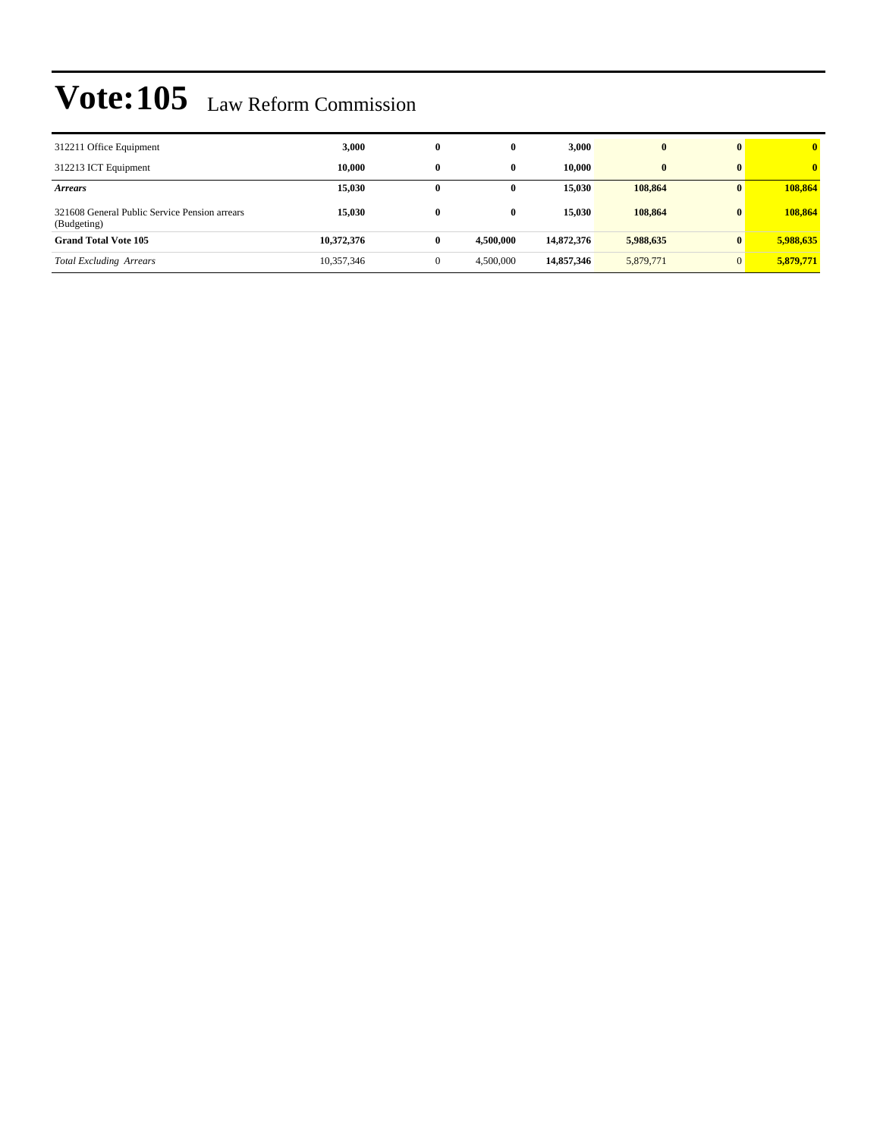| 312211 Office Equipment                                      | 3,000      | 0            | $\bf{0}$  | 3,000      | $\mathbf{0}$ | $\bf{0}$     | $\mathbf{0}$ |
|--------------------------------------------------------------|------------|--------------|-----------|------------|--------------|--------------|--------------|
| 312213 ICT Equipment                                         | 10.000     | $\bf{0}$     | 0         | 10.000     | $\bf{0}$     | $\bf{0}$     | $\mathbf{0}$ |
| <b>Arrears</b>                                               | 15,030     | 0            | 0         | 15,030     | 108,864      | $\bf{0}$     | 108,864      |
| 321608 General Public Service Pension arrears<br>(Budgeting) | 15.030     | 0            | 0         | 15.030     | 108,864      | $\mathbf{0}$ | 108,864      |
| <b>Grand Total Vote 105</b>                                  | 10,372,376 | $\bf{0}$     | 4.500.000 | 14,872,376 | 5,988,635    | $\bf{0}$     | 5,988,635    |
| <b>Total Excluding Arrears</b>                               | 10,357,346 | $\mathbf{0}$ | 4,500,000 | 14,857,346 | 5,879,771    | $\mathbf{0}$ | 5,879,771    |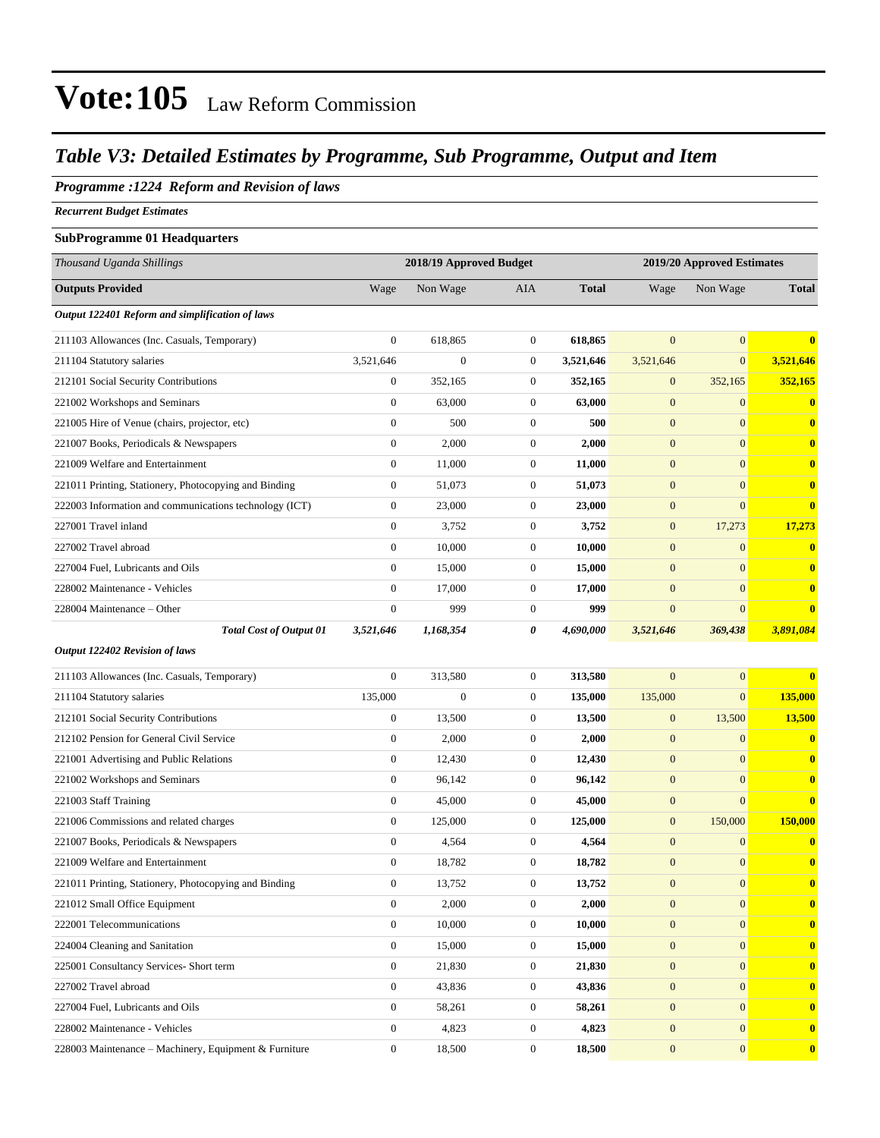### *Table V3: Detailed Estimates by Programme, Sub Programme, Output and Item*

#### *Programme :1224 Reform and Revision of laws*

*Recurrent Budget Estimates*

#### **SubProgramme 01 Headquarters**

| Thousand Uganda Shillings                              |                  | 2018/19 Approved Budget |                  | 2019/20 Approved Estimates |                  |                  |              |  |
|--------------------------------------------------------|------------------|-------------------------|------------------|----------------------------|------------------|------------------|--------------|--|
| <b>Outputs Provided</b>                                | Wage             | Non Wage                | AIA              | <b>Total</b>               | Wage             | Non Wage         | <b>Total</b> |  |
| Output 122401 Reform and simplification of laws        |                  |                         |                  |                            |                  |                  |              |  |
| 211103 Allowances (Inc. Casuals, Temporary)            | $\boldsymbol{0}$ | 618,865                 | $\boldsymbol{0}$ | 618,865                    | $\overline{0}$   | $\mathbf{0}$     | $\bf{0}$     |  |
| 211104 Statutory salaries                              | 3,521,646        | $\boldsymbol{0}$        | $\boldsymbol{0}$ | 3,521,646                  | 3,521,646        | $\mathbf{0}$     | 3,521,646    |  |
| 212101 Social Security Contributions                   | $\boldsymbol{0}$ | 352,165                 | $\boldsymbol{0}$ | 352,165                    | $\boldsymbol{0}$ | 352,165          | 352,165      |  |
| 221002 Workshops and Seminars                          | $\boldsymbol{0}$ | 63,000                  | $\boldsymbol{0}$ | 63,000                     | $\boldsymbol{0}$ | $\mathbf{0}$     | $\mathbf{0}$ |  |
| 221005 Hire of Venue (chairs, projector, etc)          | $\boldsymbol{0}$ | 500                     | $\boldsymbol{0}$ | 500                        | $\boldsymbol{0}$ | $\mathbf{0}$     | $\mathbf{0}$ |  |
| 221007 Books, Periodicals & Newspapers                 | $\boldsymbol{0}$ | 2,000                   | $\boldsymbol{0}$ | 2,000                      | $\mathbf{0}$     | $\mathbf{0}$     | $\bf{0}$     |  |
| 221009 Welfare and Entertainment                       | $\boldsymbol{0}$ | 11,000                  | $\boldsymbol{0}$ | 11,000                     | $\boldsymbol{0}$ | $\mathbf{0}$     | $\bf{0}$     |  |
| 221011 Printing, Stationery, Photocopying and Binding  | $\boldsymbol{0}$ | 51,073                  | $\boldsymbol{0}$ | 51,073                     | $\mathbf{0}$     | $\mathbf{0}$     | $\bf{0}$     |  |
| 222003 Information and communications technology (ICT) | $\boldsymbol{0}$ | 23,000                  | $\boldsymbol{0}$ | 23,000                     | $\boldsymbol{0}$ | $\mathbf{0}$     | $\bf{0}$     |  |
| 227001 Travel inland                                   | $\boldsymbol{0}$ | 3,752                   | $\boldsymbol{0}$ | 3,752                      | $\mathbf{0}$     | 17,273           | 17,273       |  |
| 227002 Travel abroad                                   | $\boldsymbol{0}$ | 10,000                  | $\boldsymbol{0}$ | 10,000                     | $\mathbf{0}$     | $\mathbf{0}$     | $\bf{0}$     |  |
| 227004 Fuel, Lubricants and Oils                       | $\overline{0}$   | 15,000                  | $\boldsymbol{0}$ | 15,000                     | $\mathbf{0}$     | $\mathbf{0}$     | $\bf{0}$     |  |
| 228002 Maintenance - Vehicles                          | $\boldsymbol{0}$ | 17,000                  | $\boldsymbol{0}$ | 17,000                     | $\mathbf{0}$     | $\mathbf{0}$     | $\bf{0}$     |  |
| 228004 Maintenance – Other                             | $\boldsymbol{0}$ | 999                     | $\boldsymbol{0}$ | 999                        | $\mathbf{0}$     | $\mathbf{0}$     | $\bf{0}$     |  |
| <b>Total Cost of Output 01</b>                         | 3,521,646        | 1,168,354               | 0                | 4,690,000                  | 3,521,646        | 369,438          | 3,891,084    |  |
| <b>Output 122402 Revision of laws</b>                  |                  |                         |                  |                            |                  |                  |              |  |
| 211103 Allowances (Inc. Casuals, Temporary)            | $\boldsymbol{0}$ | 313,580                 | $\boldsymbol{0}$ | 313,580                    | $\overline{0}$   | $\mathbf{0}$     | $\bf{0}$     |  |
| 211104 Statutory salaries                              | 135,000          | $\boldsymbol{0}$        | $\boldsymbol{0}$ | 135,000                    | 135,000          | $\mathbf{0}$     | 135,000      |  |
| 212101 Social Security Contributions                   | $\boldsymbol{0}$ | 13,500                  | $\mathbf{0}$     | 13,500                     | $\boldsymbol{0}$ | 13,500           | 13,500       |  |
| 212102 Pension for General Civil Service               | $\boldsymbol{0}$ | 2,000                   | $\boldsymbol{0}$ | 2,000                      | $\mathbf{0}$     | $\mathbf{0}$     | $\bf{0}$     |  |
| 221001 Advertising and Public Relations                | $\boldsymbol{0}$ | 12,430                  | $\boldsymbol{0}$ | 12,430                     | $\mathbf{0}$     | $\mathbf{0}$     | $\mathbf{0}$ |  |
| 221002 Workshops and Seminars                          | $\boldsymbol{0}$ | 96,142                  | $\boldsymbol{0}$ | 96,142                     | $\mathbf{0}$     | $\mathbf{0}$     | $\mathbf{0}$ |  |
| 221003 Staff Training                                  | $\boldsymbol{0}$ | 45,000                  | $\boldsymbol{0}$ | 45,000                     | $\boldsymbol{0}$ | $\mathbf{0}$     | $\bf{0}$     |  |
| 221006 Commissions and related charges                 | $\boldsymbol{0}$ | 125,000                 | $\boldsymbol{0}$ | 125,000                    | $\boldsymbol{0}$ | 150,000          | 150,000      |  |
| 221007 Books, Periodicals & Newspapers                 | $\boldsymbol{0}$ | 4,564                   | $\boldsymbol{0}$ | 4,564                      | $\mathbf{0}$     | $\mathbf{0}$     | $\bf{0}$     |  |
| 221009 Welfare and Entertainment                       | $\boldsymbol{0}$ | 18,782                  | $\boldsymbol{0}$ | 18,782                     | $\mathbf{0}$     | $\mathbf{0}$     | $\mathbf{0}$ |  |
| 221011 Printing, Stationery, Photocopying and Binding  | $\boldsymbol{0}$ | 13,752                  | $\boldsymbol{0}$ | 13,752                     | $\mathbf{0}$     | $\mathbf{0}$     | $\mathbf{0}$ |  |
| 221012 Small Office Equipment                          | $\boldsymbol{0}$ | 2,000                   | $\boldsymbol{0}$ | 2,000                      | $\boldsymbol{0}$ | $\mathbf{0}$     | $\bf{0}$     |  |
| 222001 Telecommunications                              | $\boldsymbol{0}$ | 10,000                  | $\mathbf{0}$     | 10,000                     | $\mathbf{0}$     | $\mathbf{0}$     | $\mathbf{0}$ |  |
| 224004 Cleaning and Sanitation                         | $\overline{0}$   | 15,000                  | $\boldsymbol{0}$ | 15,000                     | $\boldsymbol{0}$ | $\mathbf{0}$     | $\mathbf{0}$ |  |
| 225001 Consultancy Services- Short term                | $\boldsymbol{0}$ | 21,830                  | $\boldsymbol{0}$ | 21,830                     | $\mathbf{0}$     | $\mathbf{0}$     | $\mathbf{0}$ |  |
| 227002 Travel abroad                                   | $\boldsymbol{0}$ | 43,836                  | $\boldsymbol{0}$ | 43,836                     | $\mathbf{0}$     | $\mathbf{0}$     | $\mathbf{0}$ |  |
| 227004 Fuel, Lubricants and Oils                       | $\boldsymbol{0}$ | 58,261                  | $\boldsymbol{0}$ | 58,261                     | $\boldsymbol{0}$ | $\mathbf{0}$     | $\mathbf{0}$ |  |
| 228002 Maintenance - Vehicles                          | $\boldsymbol{0}$ | 4,823                   | $\overline{0}$   | 4,823                      | $\mathbf{0}$     | $\mathbf{0}$     | $\mathbf{0}$ |  |
| 228003 Maintenance - Machinery, Equipment & Furniture  | $\boldsymbol{0}$ | 18,500                  | $\boldsymbol{0}$ | 18,500                     | $\boldsymbol{0}$ | $\boldsymbol{0}$ | $\mathbf{0}$ |  |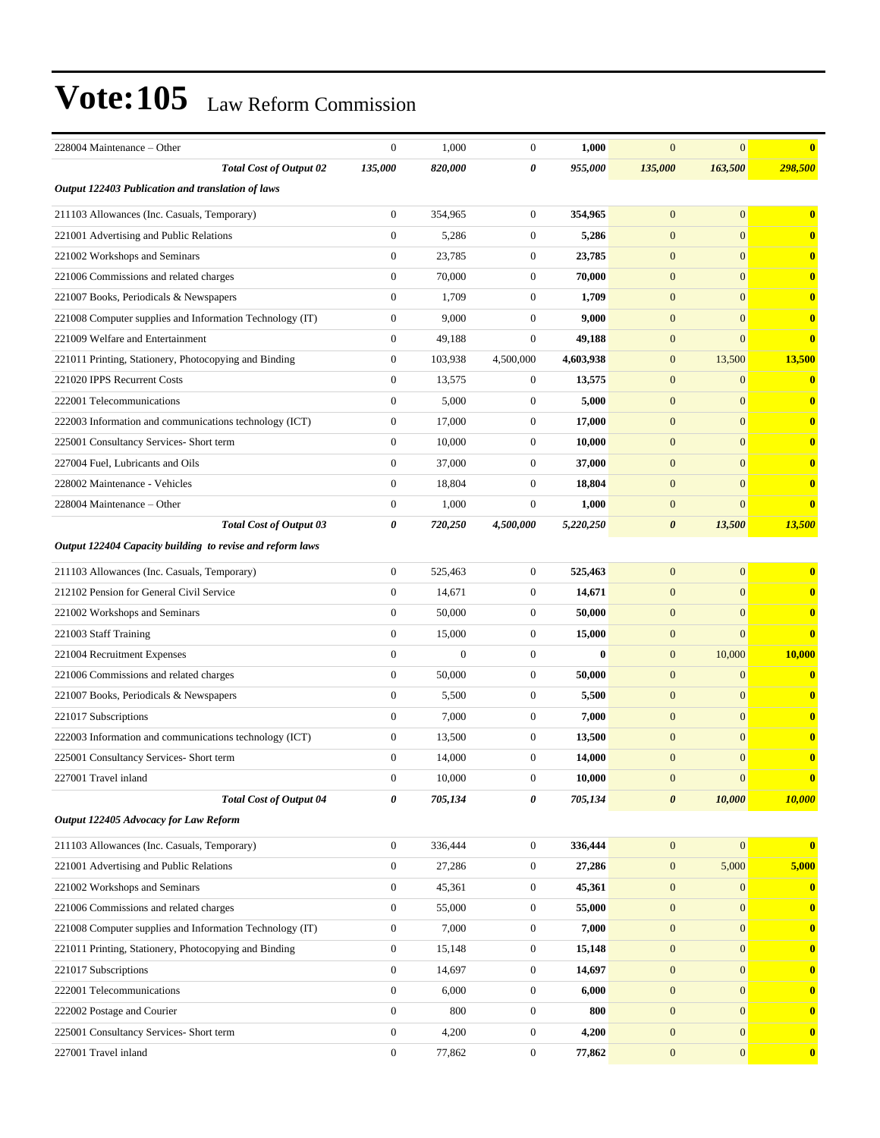| 228004 Maintenance - Other                                | $\theta$         | 1,000        | $\mathbf{0}$          | 1,000     | $\overline{0}$        | $\mathbf{0}$ | $\bf{0}$      |
|-----------------------------------------------------------|------------------|--------------|-----------------------|-----------|-----------------------|--------------|---------------|
| <b>Total Cost of Output 02</b>                            | 135,000          | 820,000      | 0                     | 955,000   | 135,000               | 163,500      | 298,500       |
| Output 122403 Publication and translation of laws         |                  |              |                       |           |                       |              |               |
| 211103 Allowances (Inc. Casuals, Temporary)               | $\boldsymbol{0}$ | 354,965      | $\boldsymbol{0}$      | 354,965   | $\mathbf{0}$          | $\mathbf{0}$ | $\bf{0}$      |
| 221001 Advertising and Public Relations                   | $\boldsymbol{0}$ | 5,286        | $\mathbf{0}$          | 5,286     | $\mathbf{0}$          | $\mathbf{0}$ | $\mathbf{0}$  |
| 221002 Workshops and Seminars                             | $\boldsymbol{0}$ | 23,785       | $\boldsymbol{0}$      | 23,785    | $\mathbf{0}$          | $\mathbf{0}$ | $\bf{0}$      |
| 221006 Commissions and related charges                    | $\mathbf{0}$     | 70,000       | $\mathbf{0}$          | 70.000    | $\mathbf{0}$          | $\mathbf{0}$ | $\bf{0}$      |
| 221007 Books, Periodicals & Newspapers                    | $\mathbf{0}$     | 1,709        | $\mathbf{0}$          | 1,709     | $\mathbf{0}$          | $\mathbf{0}$ | $\bf{0}$      |
| 221008 Computer supplies and Information Technology (IT)  | $\boldsymbol{0}$ | 9,000        | $\boldsymbol{0}$      | 9,000     | $\mathbf{0}$          | $\mathbf{0}$ | $\bf{0}$      |
| 221009 Welfare and Entertainment                          | $\boldsymbol{0}$ | 49,188       | $\mathbf{0}$          | 49,188    | $\mathbf{0}$          | $\mathbf{0}$ | $\mathbf{0}$  |
| 221011 Printing, Stationery, Photocopying and Binding     | $\boldsymbol{0}$ | 103,938      | 4,500,000             | 4,603,938 | $\mathbf{0}$          | 13,500       | 13,500        |
| 221020 IPPS Recurrent Costs                               | $\mathbf{0}$     | 13,575       | $\mathbf{0}$          | 13,575    | $\mathbf{0}$          | $\mathbf{0}$ | $\bf{0}$      |
| 222001 Telecommunications                                 | $\mathbf{0}$     | 5,000        | $\mathbf{0}$          | 5,000     | $\mathbf{0}$          | $\mathbf{0}$ | $\bf{0}$      |
| 222003 Information and communications technology (ICT)    | $\boldsymbol{0}$ | 17,000       | $\boldsymbol{0}$      | 17,000    | $\mathbf{0}$          | $\mathbf{0}$ | $\bf{0}$      |
| 225001 Consultancy Services- Short term                   | $\boldsymbol{0}$ | 10,000       | $\mathbf{0}$          | 10,000    | $\mathbf{0}$          | $\mathbf{0}$ | $\bf{0}$      |
| 227004 Fuel, Lubricants and Oils                          | $\boldsymbol{0}$ | 37,000       | $\mathbf{0}$          | 37,000    | $\mathbf{0}$          | $\mathbf{0}$ | $\bf{0}$      |
| 228002 Maintenance - Vehicles                             | $\mathbf{0}$     | 18,804       | $\mathbf{0}$          | 18,804    | $\mathbf{0}$          | $\mathbf{0}$ | $\mathbf{0}$  |
| 228004 Maintenance - Other                                | $\mathbf{0}$     | 1,000        | $\mathbf{0}$          | 1,000     | $\mathbf{0}$          | $\mathbf{0}$ | $\bf{0}$      |
| <b>Total Cost of Output 03</b>                            | 0                | 720,250      | 4,500,000             | 5,220,250 | $\boldsymbol{\theta}$ | 13,500       | <b>13,500</b> |
| Output 122404 Capacity building to revise and reform laws |                  |              |                       |           |                       |              |               |
| 211103 Allowances (Inc. Casuals, Temporary)               | $\boldsymbol{0}$ | 525,463      | $\boldsymbol{0}$      | 525,463   | $\mathbf{0}$          | $\mathbf{0}$ | $\bf{0}$      |
| 212102 Pension for General Civil Service                  | $\boldsymbol{0}$ | 14,671       | $\boldsymbol{0}$      | 14,671    | $\mathbf{0}$          | $\mathbf{0}$ | $\bf{0}$      |
| 221002 Workshops and Seminars                             | $\boldsymbol{0}$ | 50,000       | $\mathbf{0}$          | 50,000    | $\mathbf{0}$          | $\mathbf{0}$ | $\mathbf{0}$  |
| 221003 Staff Training                                     | $\boldsymbol{0}$ | 15,000       | $\mathbf{0}$          | 15,000    | $\mathbf{0}$          | $\Omega$     | $\mathbf{0}$  |
| 221004 Recruitment Expenses                               | $\mathbf{0}$     | $\mathbf{0}$ | $\boldsymbol{0}$      | $\bf{0}$  | $\mathbf{0}$          | 10,000       | 10,000        |
| 221006 Commissions and related charges                    | $\boldsymbol{0}$ | 50,000       | $\boldsymbol{0}$      | 50,000    | $\mathbf{0}$          | $\mathbf{0}$ | $\bf{0}$      |
| 221007 Books, Periodicals & Newspapers                    | $\boldsymbol{0}$ | 5,500        | $\boldsymbol{0}$      | 5,500     | $\mathbf{0}$          | $\mathbf{0}$ | $\bf{0}$      |
| 221017 Subscriptions                                      | $\mathbf{0}$     | 7,000        | $\mathbf{0}$          | 7,000     | $\mathbf{0}$          | $\mathbf{0}$ | $\bf{0}$      |
| 222003 Information and communications technology (ICT)    | $\boldsymbol{0}$ | 13,500       | $\mathbf{0}$          | 13,500    | $\mathbf{0}$          | $\mathbf{0}$ | $\bf{0}$      |
| 225001 Consultancy Services- Short term                   | $\mathbf{0}$     | 14,000       | $\mathbf{0}$          | 14,000    | $\mathbf{0}$          | $\mathbf{0}$ | $\bf{0}$      |
| 227001 Travel inland                                      | $\boldsymbol{0}$ | 10,000       | $\boldsymbol{0}$      | 10,000    | $\boldsymbol{0}$      | $\mathbf{0}$ | $\mathbf{0}$  |
| <b>Total Cost of Output 04</b>                            | 0                | 705,134      | $\boldsymbol{\theta}$ | 705,134   | $\boldsymbol{\theta}$ | 10,000       | <b>10,000</b> |
| Output 122405 Advocacy for Law Reform                     |                  |              |                       |           |                       |              |               |
| 211103 Allowances (Inc. Casuals, Temporary)               | $\boldsymbol{0}$ | 336,444      | $\boldsymbol{0}$      | 336,444   | $\mathbf{0}$          | $\mathbf{0}$ | $\bf{0}$      |
| 221001 Advertising and Public Relations                   | $\boldsymbol{0}$ | 27,286       | $\boldsymbol{0}$      | 27,286    | $\boldsymbol{0}$      | 5,000        | 5,000         |
| 221002 Workshops and Seminars                             | $\boldsymbol{0}$ | 45,361       | $\boldsymbol{0}$      | 45,361    | $\mathbf{0}$          | $\mathbf{0}$ | $\bf{0}$      |
| 221006 Commissions and related charges                    | $\boldsymbol{0}$ | 55,000       | $\boldsymbol{0}$      | 55,000    | $\mathbf{0}$          | $\mathbf{0}$ | $\bf{0}$      |
| 221008 Computer supplies and Information Technology (IT)  | $\boldsymbol{0}$ | 7,000        | $\boldsymbol{0}$      | 7,000     | $\mathbf{0}$          | $\mathbf{0}$ | $\bf{0}$      |
| 221011 Printing, Stationery, Photocopying and Binding     | $\boldsymbol{0}$ | 15,148       | $\boldsymbol{0}$      | 15,148    | $\mathbf{0}$          | $\mathbf{0}$ | $\bf{0}$      |
| 221017 Subscriptions                                      | $\boldsymbol{0}$ | 14,697       | $\boldsymbol{0}$      | 14,697    | $\mathbf{0}$          | $\mathbf{0}$ | $\bf{0}$      |
| 222001 Telecommunications                                 | $\boldsymbol{0}$ | 6,000        | $\boldsymbol{0}$      | 6,000     | $\boldsymbol{0}$      | $\mathbf{0}$ | $\bf{0}$      |
| 222002 Postage and Courier                                | $\boldsymbol{0}$ | 800          | $\boldsymbol{0}$      | 800       | $\mathbf{0}$          | $\mathbf{0}$ | $\bf{0}$      |
| 225001 Consultancy Services- Short term                   | $\boldsymbol{0}$ | 4,200        | $\boldsymbol{0}$      | 4,200     | $\mathbf{0}$          | $\mathbf{0}$ | $\bf{0}$      |
| 227001 Travel inland                                      | $\boldsymbol{0}$ | 77,862       | $\boldsymbol{0}$      | 77,862    | $\mathbf{0}$          | $\mathbf{0}$ | $\mathbf{0}$  |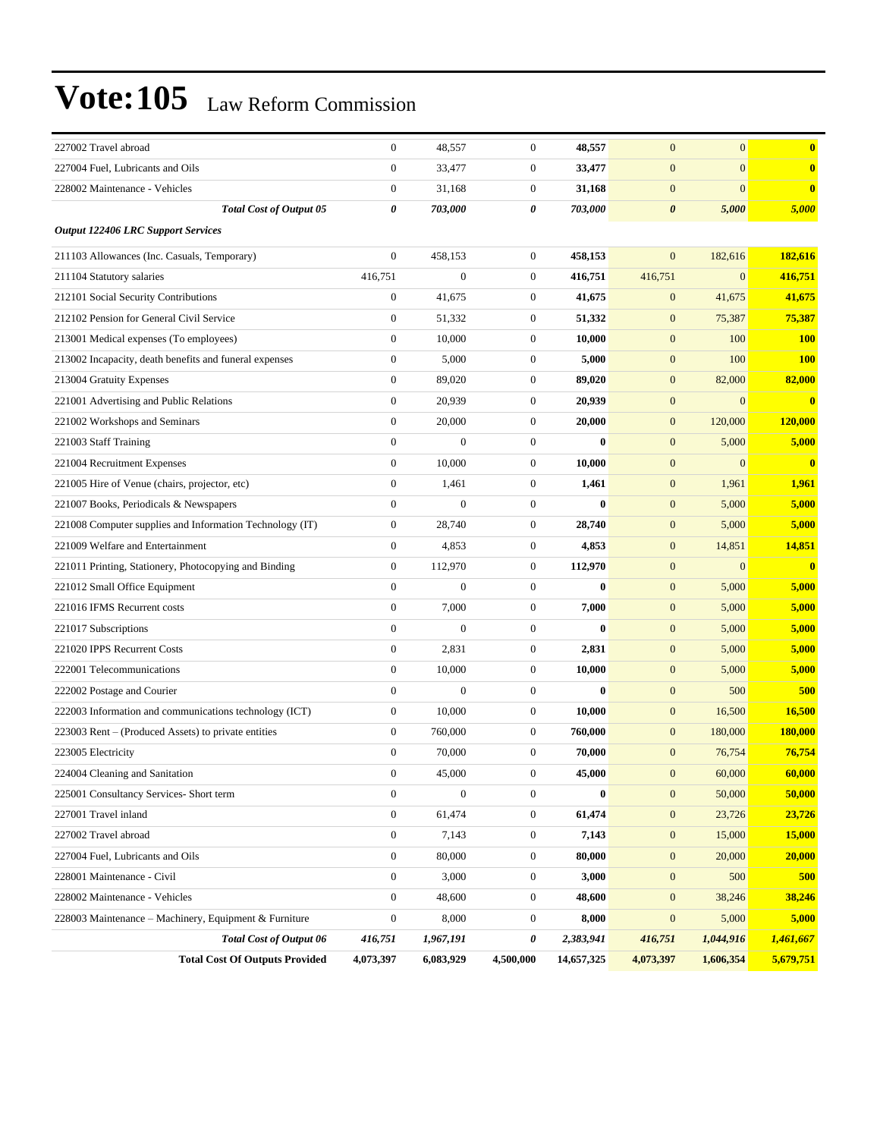| 227002 Travel abroad                                     | $\mathbf{0}$     | 48,557       | $\mathbf{0}$     | 48,557     | $\mathbf{0}$          | $\mathbf{0}$ | $\bf{0}$   |
|----------------------------------------------------------|------------------|--------------|------------------|------------|-----------------------|--------------|------------|
| 227004 Fuel, Lubricants and Oils                         | $\overline{0}$   | 33,477       | $\mathbf{0}$     | 33,477     | $\boldsymbol{0}$      | $\mathbf{0}$ | $\bf{0}$   |
| 228002 Maintenance - Vehicles                            | $\boldsymbol{0}$ | 31,168       | $\boldsymbol{0}$ | 31,168     | $\mathbf{0}$          | $\mathbf{0}$ | $\bf{0}$   |
| <b>Total Cost of Output 05</b>                           | 0                | 703,000      | 0                | 703,000    | $\boldsymbol{\theta}$ | 5,000        | 5,000      |
| <b>Output 122406 LRC Support Services</b>                |                  |              |                  |            |                       |              |            |
| 211103 Allowances (Inc. Casuals, Temporary)              | $\boldsymbol{0}$ | 458,153      | $\mathbf{0}$     | 458,153    | $\mathbf{0}$          | 182,616      | 182,616    |
| 211104 Statutory salaries                                | 416.751          | $\Omega$     | $\mathbf{0}$     | 416,751    | 416,751               | $\mathbf{0}$ | 416,751    |
| 212101 Social Security Contributions                     | $\boldsymbol{0}$ | 41.675       | $\mathbf{0}$     | 41,675     | $\boldsymbol{0}$      | 41,675       | 41,675     |
| 212102 Pension for General Civil Service                 | $\boldsymbol{0}$ | 51,332       | $\boldsymbol{0}$ | 51,332     | $\boldsymbol{0}$      | 75,387       | 75,387     |
| 213001 Medical expenses (To employees)                   | $\boldsymbol{0}$ | 10,000       | $\boldsymbol{0}$ | 10,000     | $\boldsymbol{0}$      | 100          | <b>100</b> |
| 213002 Incapacity, death benefits and funeral expenses   | $\boldsymbol{0}$ | 5,000        | $\boldsymbol{0}$ | 5,000      | $\boldsymbol{0}$      | 100          | <b>100</b> |
| 213004 Gratuity Expenses                                 | $\mathbf{0}$     | 89,020       | $\boldsymbol{0}$ | 89,020     | $\boldsymbol{0}$      | 82,000       | 82,000     |
| 221001 Advertising and Public Relations                  | $\overline{0}$   | 20,939       | $\boldsymbol{0}$ | 20,939     | $\mathbf{0}$          | $\mathbf{0}$ | $\bf{0}$   |
| 221002 Workshops and Seminars                            | $\boldsymbol{0}$ | 20,000       | $\boldsymbol{0}$ | 20,000     | $\boldsymbol{0}$      | 120,000      | 120,000    |
| 221003 Staff Training                                    | $\boldsymbol{0}$ | $\theta$     | $\boldsymbol{0}$ | $\bf{0}$   | $\boldsymbol{0}$      | 5,000        | 5,000      |
| 221004 Recruitment Expenses                              | $\boldsymbol{0}$ | 10,000       | $\boldsymbol{0}$ | 10,000     | $\mathbf{0}$          | $\mathbf{0}$ | $\bf{0}$   |
| 221005 Hire of Venue (chairs, projector, etc)            | $\mathbf{0}$     | 1,461        | $\boldsymbol{0}$ | 1,461      | $\boldsymbol{0}$      | 1,961        | 1,961      |
| 221007 Books, Periodicals & Newspapers                   | $\overline{0}$   | $\Omega$     | $\boldsymbol{0}$ | $\bf{0}$   | $\mathbf{0}$          | 5,000        | 5,000      |
| 221008 Computer supplies and Information Technology (IT) | $\boldsymbol{0}$ | 28,740       | $\boldsymbol{0}$ | 28,740     | $\boldsymbol{0}$      | 5,000        | 5,000      |
| 221009 Welfare and Entertainment                         | $\boldsymbol{0}$ | 4,853        | $\boldsymbol{0}$ | 4,853      | $\boldsymbol{0}$      | 14,851       | 14,851     |
| 221011 Printing, Stationery, Photocopying and Binding    | $\boldsymbol{0}$ | 112,970      | $\boldsymbol{0}$ | 112,970    | $\mathbf{0}$          | $\Omega$     | $\bf{0}$   |
| 221012 Small Office Equipment                            | $\mathbf{0}$     | $\Omega$     | $\boldsymbol{0}$ | $\bf{0}$   | $\mathbf{0}$          | 5,000        | 5,000      |
| 221016 IFMS Recurrent costs                              | $\overline{0}$   | 7,000        | $\boldsymbol{0}$ | 7,000      | $\mathbf{0}$          | 5,000        | 5,000      |
| 221017 Subscriptions                                     | $\overline{0}$   | $\mathbf{0}$ | $\boldsymbol{0}$ | $\bf{0}$   | $\boldsymbol{0}$      | 5,000        | 5,000      |
| 221020 IPPS Recurrent Costs                              | $\boldsymbol{0}$ | 2,831        | $\boldsymbol{0}$ | 2,831      | $\boldsymbol{0}$      | 5,000        | 5,000      |
| 222001 Telecommunications                                | $\boldsymbol{0}$ | 10,000       | $\boldsymbol{0}$ | 10,000     | $\boldsymbol{0}$      | 5,000        | 5,000      |
| 222002 Postage and Courier                               | $\mathbf{0}$     | $\Omega$     | $\boldsymbol{0}$ | $\bf{0}$   | $\boldsymbol{0}$      | 500          | 500        |
| 222003 Information and communications technology (ICT)   | $\boldsymbol{0}$ | 10,000       | $\boldsymbol{0}$ | 10,000     | $\boldsymbol{0}$      | 16,500       | 16,500     |
| 223003 Rent – (Produced Assets) to private entities      | $\boldsymbol{0}$ | 760,000      | $\boldsymbol{0}$ | 760,000    | $\mathbf{0}$          | 180,000      | 180,000    |
| 223005 Electricity                                       | $\boldsymbol{0}$ | 70,000       | $\boldsymbol{0}$ | 70,000     | $\mathbf{0}$          | 76,754       | 76,754     |
| 224004 Cleaning and Sanitation                           | $\mathbf{0}$     | 45,000       | $\boldsymbol{0}$ | 45,000     | $\mathbf{0}$          | 60,000       | 60,000     |
| 225001 Consultancy Services- Short term                  | $\boldsymbol{0}$ | $\mathbf{0}$ | $\boldsymbol{0}$ | $\bf{0}$   | $\boldsymbol{0}$      | 50,000       | 50,000     |
| 227001 Travel inland                                     | $\boldsymbol{0}$ | 61,474       | $\boldsymbol{0}$ | 61,474     | $\boldsymbol{0}$      | 23,726       | 23,726     |
| 227002 Travel abroad                                     | $\mathbf{0}$     | 7,143        | $\boldsymbol{0}$ | 7,143      | $\mathbf{0}$          | 15,000       | 15,000     |
| 227004 Fuel, Lubricants and Oils                         | $\mathbf{0}$     | 80,000       | $\boldsymbol{0}$ | 80,000     | $\mathbf{0}$          | 20,000       | 20,000     |
| 228001 Maintenance - Civil                               | $\boldsymbol{0}$ | 3,000        | $\boldsymbol{0}$ | 3,000      | $\mathbf{0}$          | 500          | 500        |
| 228002 Maintenance - Vehicles                            | $\mathbf{0}$     | 48,600       | $\boldsymbol{0}$ | 48,600     | $\mathbf{0}$          | 38,246       | 38,246     |
| 228003 Maintenance – Machinery, Equipment & Furniture    | $\boldsymbol{0}$ | 8,000        | $\boldsymbol{0}$ | 8,000      | $\boldsymbol{0}$      | 5,000        | 5,000      |
| <b>Total Cost of Output 06</b>                           | 416,751          | 1,967,191    | 0                | 2,383,941  | 416,751               | 1,044,916    | 1,461,667  |
| <b>Total Cost Of Outputs Provided</b>                    | 4,073,397        | 6,083,929    | 4,500,000        | 14,657,325 | 4,073,397             | 1,606,354    | 5,679,751  |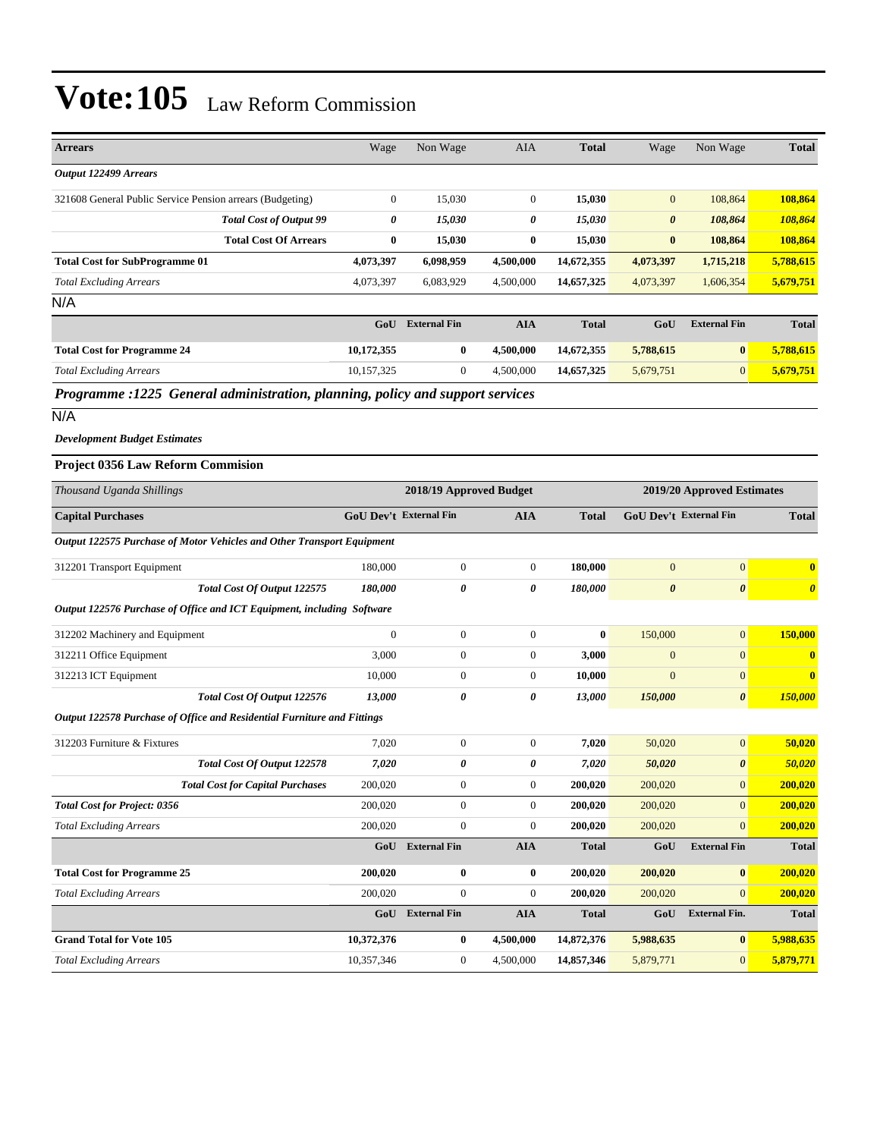| <b>Arrears</b>                                                                | Wage                   | Non Wage                | AIA              | <b>Total</b> | Wage                       | Non Wage                               | <b>Total</b>            |
|-------------------------------------------------------------------------------|------------------------|-------------------------|------------------|--------------|----------------------------|----------------------------------------|-------------------------|
| Output 122499 Arrears                                                         |                        |                         |                  |              |                            |                                        |                         |
| 321608 General Public Service Pension arrears (Budgeting)                     | $\theta$               | 15,030                  | $\mathbf{0}$     | 15,030       | $\mathbf{0}$               | 108,864                                | 108,864                 |
| <b>Total Cost of Output 99</b>                                                | 0                      | 15,030                  | 0                | 15,030       | $\boldsymbol{\theta}$      | 108,864                                | 108,864                 |
| <b>Total Cost Of Arrears</b>                                                  | $\bf{0}$               | 15,030                  | $\bf{0}$         | 15,030       | $\bf{0}$                   | 108,864                                | 108,864                 |
| <b>Total Cost for SubProgramme 01</b>                                         | 4,073,397              | 6,098,959               | 4,500,000        | 14,672,355   | 4,073,397                  | 1,715,218                              | 5,788,615               |
| <b>Total Excluding Arrears</b>                                                | 4,073,397              | 6,083,929               | 4,500,000        | 14,657,325   | 4,073,397                  | 1,606,354                              | 5,679,751               |
| N/A                                                                           |                        |                         |                  |              |                            |                                        |                         |
|                                                                               | GoU                    | <b>External Fin</b>     | <b>AIA</b>       | <b>Total</b> | GoU                        | <b>External Fin</b>                    | <b>Total</b>            |
| <b>Total Cost for Programme 24</b>                                            | 10,172,355             | 0                       | 4,500,000        | 14,672,355   | 5,788,615                  | $\bf{0}$                               | 5,788,615               |
| <b>Total Excluding Arrears</b>                                                | 10,157,325             | 0                       | 4,500,000        | 14,657,325   | 5,679,751                  | $\overline{0}$                         | 5,679,751               |
| Programme :1225 General administration, planning, policy and support services |                        |                         |                  |              |                            |                                        |                         |
| N/A                                                                           |                        |                         |                  |              |                            |                                        |                         |
| <b>Development Budget Estimates</b>                                           |                        |                         |                  |              |                            |                                        |                         |
| <b>Project 0356 Law Reform Commision</b>                                      |                        |                         |                  |              |                            |                                        |                         |
| Thousand Uganda Shillings                                                     |                        | 2018/19 Approved Budget |                  |              | 2019/20 Approved Estimates |                                        |                         |
| <b>Capital Purchases</b>                                                      | GoU Dev't External Fin |                         | <b>AIA</b>       | <b>Total</b> |                            | GoU Dev't External Fin<br><b>Total</b> |                         |
| Output 122575 Purchase of Motor Vehicles and Other Transport Equipment        |                        |                         |                  |              |                            |                                        |                         |
| 312201 Transport Equipment                                                    | 180,000                | $\boldsymbol{0}$        | $\mathbf{0}$     | 180,000      | $\mathbf{0}$               | $\mathbf{0}$                           | $\bf{0}$                |
| Total Cost Of Output 122575                                                   | 180,000                | 0                       | 0                | 180,000      | $\boldsymbol{\theta}$      | $\theta$                               | $\boldsymbol{\theta}$   |
| Output 122576 Purchase of Office and ICT Equipment, including Software        |                        |                         |                  |              |                            |                                        |                         |
| 312202 Machinery and Equipment                                                | $\boldsymbol{0}$       | $\boldsymbol{0}$        | $\mathbf{0}$     | $\bf{0}$     | 150,000                    | $\mathbf{0}$                           | 150,000                 |
| 312211 Office Equipment                                                       | 3,000                  | $\overline{0}$          | $\boldsymbol{0}$ | 3,000        | $\mathbf{0}$               | $\mathbf{0}$                           | $\bf{0}$                |
| 312213 ICT Equipment                                                          | 10,000                 | $\boldsymbol{0}$        | $\mathbf{0}$     | 10,000       | $\mathbf{0}$               | $\mathbf{0}$                           | $\overline{\mathbf{0}}$ |
| Total Cost Of Output 122576                                                   | 13,000                 | 0                       | 0                | 13,000       | 150,000                    | $\boldsymbol{\theta}$                  | 150,000                 |
| Output 122578 Purchase of Office and Residential Furniture and Fittings       |                        |                         |                  |              |                            |                                        |                         |
| 312203 Furniture & Fixtures                                                   | 7,020                  | $\boldsymbol{0}$        | $\boldsymbol{0}$ | 7,020        | 50,020                     | $\overline{0}$                         | 50.020                  |
| Total Cost Of Output 122578                                                   | 7,020                  | 0                       | 0                | 7,020        | 50,020                     | 0                                      | 50,020                  |
| <b>Total Cost for Capital Purchases</b>                                       | 200,020                | $\boldsymbol{0}$        | $\boldsymbol{0}$ | 200,020      | 200,020                    | $\mathbf{0}$                           | 200,020                 |
| <b>Total Cost for Project: 0356</b>                                           | 200,020                | $\boldsymbol{0}$        | $\boldsymbol{0}$ | 200,020      | 200,020                    | $\mathbf{0}$                           | 200,020                 |
| <b>Total Excluding Arrears</b>                                                | 200,020                | $\boldsymbol{0}$        | $\mathbf{0}$     | 200,020      | 200,020                    | $\mathbf{0}$                           | 200,020                 |
|                                                                               |                        | GoU External Fin        | <b>AIA</b>       | <b>Total</b> | GoU                        | <b>External Fin</b>                    | <b>Total</b>            |
| <b>Total Cost for Programme 25</b>                                            | 200,020                | $\bf{0}$                | $\bf{0}$         | 200,020      | 200,020                    | $\bf{0}$                               | 200,020                 |
| <b>Total Excluding Arrears</b>                                                | 200,020                | $\boldsymbol{0}$        | $\boldsymbol{0}$ | 200,020      | 200,020                    | $\mathbf{0}$                           | 200,020                 |
|                                                                               | GoU                    | <b>External Fin</b>     | <b>AIA</b>       | <b>Total</b> | GoU                        | <b>External Fin.</b>                   | <b>Total</b>            |
| <b>Grand Total for Vote 105</b>                                               | 10,372,376             | $\bf{0}$                | 4,500,000        | 14,872,376   | 5,988,635                  | $\bf{0}$                               | 5,988,635               |
| <b>Total Excluding Arrears</b>                                                | 10,357,346             | $\boldsymbol{0}$        | 4,500,000        | 14,857,346   | 5,879,771                  | $\mathbf{0}$                           | 5,879,771               |